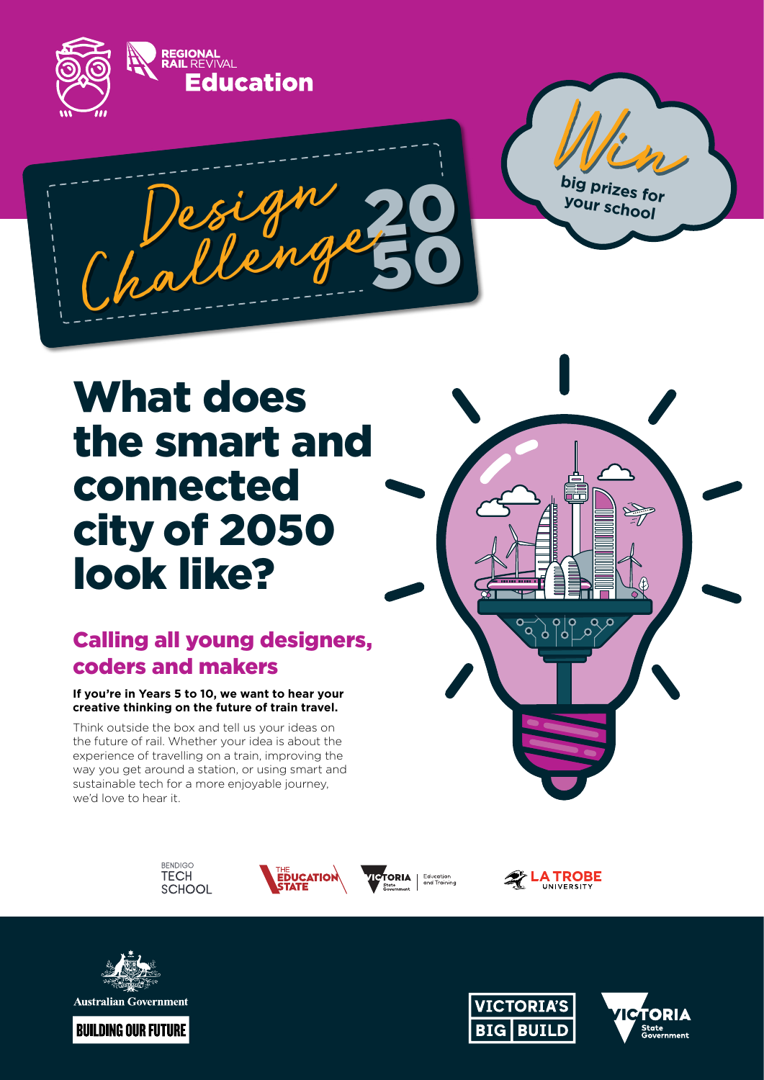

# What does the smart and connected city of 2050 look like?

## Calling all young designers, coders and makers

#### **If you're in Years 5 to 10, we want to hear your creative thinking on the future of train travel.**

Think outside the box and tell us your ideas on the future of rail. Whether your idea is about the experience of travelling on a train, improving the way you get around a station, or using smart and sustainable tech for a more enjoyable journey, we'd love to hear it.





**ICTORIA** Education<br>and Training



 $\overline{\mathcal{P}}$ 

 $\frac{1}{9}$